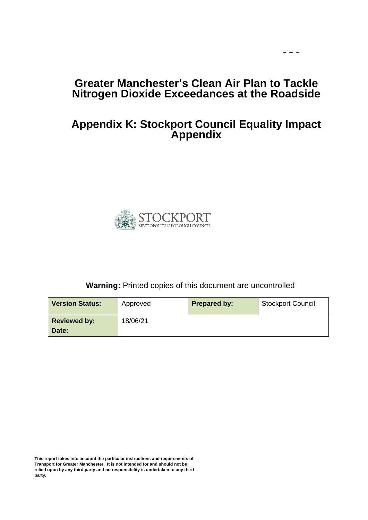## **Greater Manchester's Clean Air Plan to Tackle Nitrogen Dioxide Exceedances at the Roadside**

 $\sim$   $\sim$ 

## **Appendix K: Stockport Council Equality Impact Appendix**



### **Warning:** Printed copies of this document are uncontrolled

| <b>Version Status:</b> | Approved | <b>Prepared by:</b> | <b>Stockport Council</b> |
|------------------------|----------|---------------------|--------------------------|
| <b>Reviewed by:</b>    | 18/06/21 |                     |                          |
| Date:                  |          |                     |                          |

**This report takes into account the particular instructions and requirements of Transport for Greater Manchester. It is not intended for and should not be relied upon by any third party and no responsibility is undertaken to any third party.**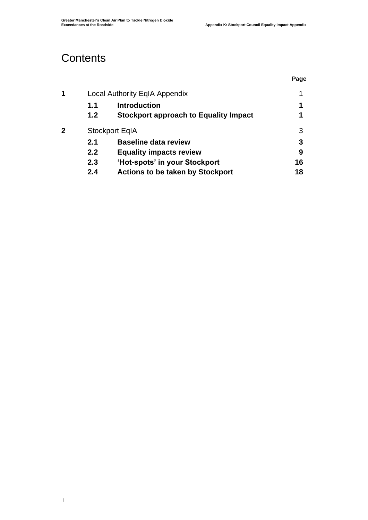## **Contents**

**|** 

|   |     |                                              | Page |
|---|-----|----------------------------------------------|------|
| 1 |     | <b>Local Authority EqIA Appendix</b>         | 1    |
|   | 1.1 | <b>Introduction</b>                          | 1    |
|   | 1.2 | <b>Stockport approach to Equality Impact</b> | 1    |
| 2 |     | <b>Stockport EqIA</b>                        | 3    |
|   | 2.1 | <b>Baseline data review</b>                  | 3    |
|   | 2.2 | <b>Equality impacts review</b>               | 9    |
|   | 2.3 | 'Hot-spots' in your Stockport                | 16   |
|   | 2.4 | <b>Actions to be taken by Stockport</b>      | 18   |
|   |     |                                              |      |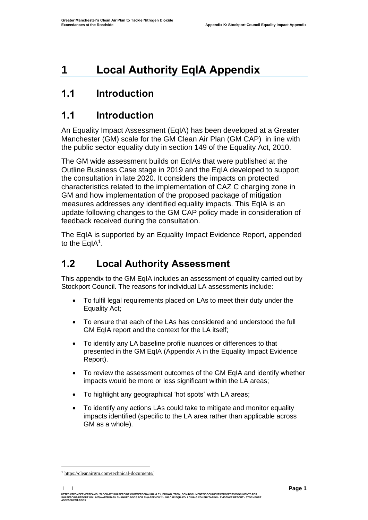# <span id="page-2-0"></span>**1 Local Authority EqIA Appendix**

## <span id="page-2-1"></span>**1.1 Introduction**

## <span id="page-2-2"></span>**1.1 Introduction**

An Equality Impact Assessment (EqIA) has been developed at a Greater Manchester (GM) scale for the GM Clean Air Plan (GM CAP) in line with the public sector equality duty in section 149 of the Equality Act, 2010.

The GM wide assessment builds on EqIAs that were published at the Outline Business Case stage in 2019 and the EqIA developed to support the consultation in late 2020. It considers the impacts on protected characteristics related to the implementation of CAZ C charging zone in GM and how implementation of the proposed package of mitigation measures addresses any identified equality impacts. This EqIA is an update following changes to the GM CAP policy made in consideration of feedback received during the consultation.

The EqIA is supported by an Equality Impact Evidence Report, appended to the EqIA<sup>1</sup>.

## **1.2 Local Authority Assessment**

This appendix to the GM EqIA includes an assessment of equality carried out by Stockport Council. The reasons for individual LA assessments include:

- To fulfil legal requirements placed on LAs to meet their duty under the Equality Act;
- To ensure that each of the LAs has considered and understood the full GM EqIA report and the context for the LA itself;
- To identify any LA baseline profile nuances or differences to that presented in the GM EqIA (Appendix A in the Equality Impact Evidence Report).
- To review the assessment outcomes of the GM EqIA and identify whether impacts would be more or less significant within the LA areas;
- To highlight any geographical 'hot spots' with LA areas;
- To identify any actions LAs could take to mitigate and monitor equality impacts identified (specific to the LA area rather than applicable across GM as a whole).

**| |**  HTTPS://TFGMSERVERTEAMOUTLOOK-MY.SHAREPOINT.COMPERSONAL/HAYLEY\_BROWN\_TFGM\_COM/DOCUMENTS/DOCUMENTS/PROJECTS/DOCUMENTS FOR<br>SHAREPOINT/REPORT GO LIVE/WATERMARK CHANGED DOCS FOR EH/APPENDIX 2 - GM CAP EQIA FOLLOWING CONSULTATI **ASSESSMENT.DOCX**

<sup>1</sup> [https://cleanairgm.com/technical-documents/](https://secure-web.cisco.com/11eiBCgElauzNx9ZLncgJx3iOubmp4VtcvvkdlhxY65RKvTbIb59-L2ncr8SElltrd2x-6LbEl4KMsTTxIe3wkMOtRdF_mwDnnUw_pzGQZOwSRIhPJyQIZ8Yp6BpEAcNSn8Ts-zUMkCwwKuuZ6JqlhO90pJazjetwe6gKhLVIM_BswP0PQmXUeuqGyGpWdmieI8qM86OywsW2Ih1TXBkADjvPWBAW0J67oLJLyOi-5a-P-uw5qxFWy4jV1Rgj27aX74mWEA8RmcCJF_QiJniWV9Y7vnNRmfIdielNKILyTnV3ChPut5AXlpom2ThMoaDynN4YcMw9M5bXrEI6WdmDFg/https%3A%2F%2Furl4.mailanyone.net%2Fv1%2F%3Fm%3D1lqaQa-0007kg-3t%26i%3D57e1b682%26c%3Dwx7pouswT3bJs4LPeETsz86q7Q_0OC56XXhe7DlJDibGRSGR8fdmSomeuSdI7C2Fa0eQbaAqoLXhP95flvC3e_rUhnBjBiD8llf9LaF4ZtCjfFRgnR8YVM3huSJaCGnICk94fttlvHc5puWw5cDJWXKncROEJUpzHqnxCBOtlS83l3-sjgML-pIcbUhAQZELxzuJu6c3812_3lnwQAbyYwgocO5Fara8d5TyMQqiWW6tNZcZXXghiSlVoISAGQRmsZ-TU8nVqIdM3Z7LyV0OBSLL4yenFqLa1SDyZM36c6L9Rv_9RwvC_zO8-ja9EEmp3RuaxQ4iKqu8pID_qRBxLRB9hKR0Yp8TjK3AxZQfI6W6JX6ff_FKZIssUgNuX4h8fgWjXtS31MSzgcKKD5htCOS8RNiJG7hqFaezCADs1zqfd5YI5KwtXyQV8Xcw9c04dqUU3rtH6b_zGkplrYZzi_tw5Uh0gVH_yDQ0aze-YmaYOmPe-7DcIOn3tcJzyPAzyNqQZKCfP-i1oh349NtnaY_1gjK4qs0hRBa9R9D0kEGpaGRFokA16JTCjrnHuvRgs7DcM7Fi3nDdrs6xiFxYb34O5EIVstmWMeA67C4pmsqoQ4hX3-rUnQd3vI35GAzQJzJxEsp-QxLb4UU4coOA_r80VNAaur_GF4G4X8lvmN0gEZ3Wu5QzUhFNsj4TCOgSucH17LnJrJVLTZfksCAbTQ)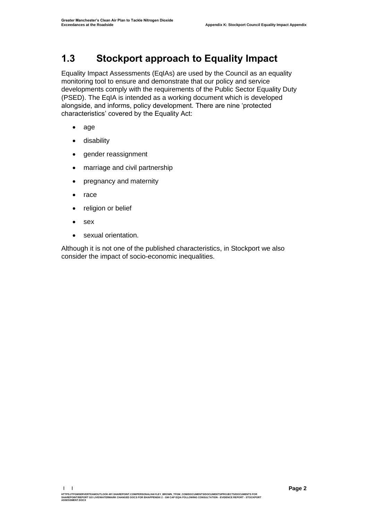## **1.3 Stockport approach to Equality Impact**

Equality Impact Assessments (EqIAs) are used by the Council as an equality monitoring tool to ensure and demonstrate that our policy and service developments comply with the requirements of the Public Sector Equality Duty (PSED). The EqIA is intended as a working document which is developed alongside, and informs, policy development. There are nine 'protected characteristics' covered by the Equality Act:

- age
- disability
- gender reassignment
- marriage and civil partnership
- pregnancy and maternity
- race
- religion or belief
- sex
- sexual orientation.

Although it is not one of the published characteristics, in Stockport we also consider the impact of socio-economic inequalities.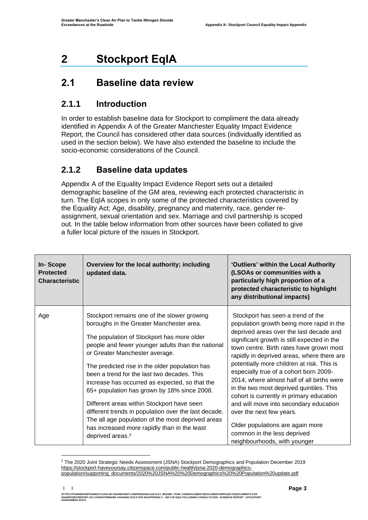# <span id="page-4-0"></span>**2 Stockport EqIA**

## <span id="page-4-1"></span>**2.1 Baseline data review**

### **2.1.1 Introduction**

In order to establish baseline data for Stockport to compliment the data already identified in Appendix A of the Greater Manchester Equality Impact Evidence Report, the Council has considered other data sources (individually identified as used in the section below). We have also extended the baseline to include the socio-economic considerations of the Council.

### **2.1.2 Baseline data updates**

Appendix A of the Equality Impact Evidence Report sets out a detailed demographic baseline of the GM area, reviewing each protected characteristic in turn. The EqIA scopes in only some of the protected characteristics covered by the Equality Act; Age, disability, pregnancy and maternity, race, gender reassignment, sexual orientation and sex. Marriage and civil partnership is scoped out. In the table below information from other sources have been collated to give a fuller local picture of the issues in Stockport.

| <b>In-Scope</b><br><b>Protected</b><br><b>Characteristic</b> | Overview for the local authority; including<br>updated data.                                                                                                                                                                                                                                                                                                                                                                                                                                                                                                                                                                                                              | 'Outliers' within the Local Authority<br>(LSOAs or communities with a<br>particularly high proportion of a<br>protected characteristic to highlight<br>any distributional impacts)                                                                                                                                                                                                                                                                                                                                                                                                                                                                                        |
|--------------------------------------------------------------|---------------------------------------------------------------------------------------------------------------------------------------------------------------------------------------------------------------------------------------------------------------------------------------------------------------------------------------------------------------------------------------------------------------------------------------------------------------------------------------------------------------------------------------------------------------------------------------------------------------------------------------------------------------------------|---------------------------------------------------------------------------------------------------------------------------------------------------------------------------------------------------------------------------------------------------------------------------------------------------------------------------------------------------------------------------------------------------------------------------------------------------------------------------------------------------------------------------------------------------------------------------------------------------------------------------------------------------------------------------|
| Age                                                          | Stockport remains one of the slower growing<br>boroughs in the Greater Manchester area.<br>The population of Stockport has more older<br>people and fewer younger adults than the national<br>or Greater Manchester average.<br>The predicted rise in the older population has<br>been a trend for the last two decades. This<br>increase has occurred as expected, so that the<br>65+ population has grown by 18% since 2008.<br>Different areas within Stockport have seen<br>different trends in population over the last decade.<br>The all age population of the most deprived areas<br>has increased more rapidly than in the least<br>deprived areas. <sup>2</sup> | Stockport has seen a trend of the<br>population growth being more rapid in the<br>deprived areas over the last decade and<br>significant growth is still expected in the<br>town centre. Birth rates have grown most<br>rapidly in deprived areas, where there are<br>potentially more children at risk. This is<br>especially true of a cohort born 2009-<br>2014, where almost half of all births were<br>in the two most deprived quintiles. This<br>cohort is currently in primary education<br>and will move into secondary education<br>over the next few years.<br>Older populations are again more<br>common in the less deprived<br>neighbourhoods, with younger |

<sup>2</sup> The 2020 Joint Strategic Needs Assessment (JSNA) Stockport Demographics and Population December 2019 [https://stockport-haveyoursay.citizenspace.com/public-health/jsna-2020-demographics](https://stockport-haveyoursay.citizenspace.com/public-health/jsna-2020-demographics-population/supporting_documents/2020%20JSNA%20%20Demographics%20%20Population%20update.pdf)[population/supporting\\_documents/2020%20JSNA%20%20Demographics%20%20Population%20update.pdf](https://stockport-haveyoursay.citizenspace.com/public-health/jsna-2020-demographics-population/supporting_documents/2020%20JSNA%20%20Demographics%20%20Population%20update.pdf)

**| |**  HTTPS://TFGMSERVERTEAMOUTLOOK-MY.SHAREPOINT.COMPERSONAL/HAYLEY\_BROWN\_TFGM\_COM/DOCUMENTS/DOCUMENTS/PROJECTS/DOCUMENTS FOR<br>SHAREPOINT/REPORT GO LIVE/WATERMARK CHANGED DOCS FOR EH/APPENDIX 2 - GM CAP EQIA FOLLOWING CONSULTATI **ASSESSMENT.DOCX**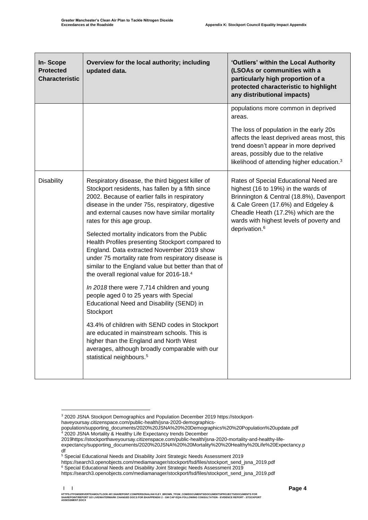| In-Scope<br><b>Protected</b><br><b>Characteristic</b> | Overview for the local authority; including<br>updated data.                                                                                                                                                                                                                                                                              | 'Outliers' within the Local Authority<br>(LSOAs or communities with a<br>particularly high proportion of a<br>protected characteristic to highlight<br>any distributional impacts)                                                                                                |  |
|-------------------------------------------------------|-------------------------------------------------------------------------------------------------------------------------------------------------------------------------------------------------------------------------------------------------------------------------------------------------------------------------------------------|-----------------------------------------------------------------------------------------------------------------------------------------------------------------------------------------------------------------------------------------------------------------------------------|--|
|                                                       |                                                                                                                                                                                                                                                                                                                                           | populations more common in deprived<br>areas.<br>The loss of population in the early 20s<br>affects the least deprived areas most, this<br>trend doesn't appear in more deprived<br>areas, possibly due to the relative<br>likelihood of attending higher education. <sup>3</sup> |  |
| <b>Disability</b>                                     | Respiratory disease, the third biggest killer of<br>Stockport residents, has fallen by a fifth since<br>2002. Because of earlier falls in respiratory<br>disease in the under 75s, respiratory, digestive<br>and external causes now have similar mortality<br>rates for this age group.<br>Selected mortality indicators from the Public | Rates of Special Educational Need are<br>highest (16 to 19%) in the wards of<br>Brinnington & Central (18.8%), Davenport<br>& Cale Green (17.6%) and Edgeley &<br>Cheadle Heath (17.2%) which are the<br>wards with highest levels of poverty and<br>deprivation. <sup>6</sup>    |  |
|                                                       | Health Profiles presenting Stockport compared to<br>England. Data extracted November 2019 show<br>under 75 mortality rate from respiratory disease is<br>similar to the England value but better than that of<br>the overall regional value for 2016-18.4                                                                                 |                                                                                                                                                                                                                                                                                   |  |
|                                                       | In 2018 there were 7,714 children and young<br>people aged 0 to 25 years with Special<br>Educational Need and Disability (SEND) in<br>Stockport                                                                                                                                                                                           |                                                                                                                                                                                                                                                                                   |  |
|                                                       | 43.4% of children with SEND codes in Stockport<br>are educated in mainstream schools. This is<br>higher than the England and North West<br>averages, although broadly comparable with our<br>statistical neighbours. <sup>5</sup>                                                                                                         |                                                                                                                                                                                                                                                                                   |  |

https://search3.openobjects.com/mediamanager/stockport/fsd/files/stockport\_send\_jsna\_2019.pdf

<sup>6</sup> Special Educational Needs and Disability Joint Strategic Needs Assessment 2019

<sup>&</sup>lt;sup>3</sup> 2020 JSNA Stockport Demographics and Population December 2019 https://stockport-

haveyoursay.citizenspace.com/public-health/jsna-2020-demographics-

population/supporting\_documents/2020%20JSNA%20%20Demographics%20%20Population%20update.pdf <sup>4</sup> 2020 JSNA Mortality & Healthy Life Expectancy trends December

<sup>2019</sup>https://stockporthaveyoursay.citizenspace.com/public-health/jsna-2020-mortality-and-healthy-life-

expectancy/supporting\_documents/2020%20JSNA%20%20Mortality%20%20Healthy%20Life%20Expectancy.p df

<sup>5</sup> Special Educational Needs and Disability Joint Strategic Needs Assessment 2019

https://search3.openobjects.com/mediamanager/stockport/fsd/files/stockport\_send\_jsna\_2019.pdf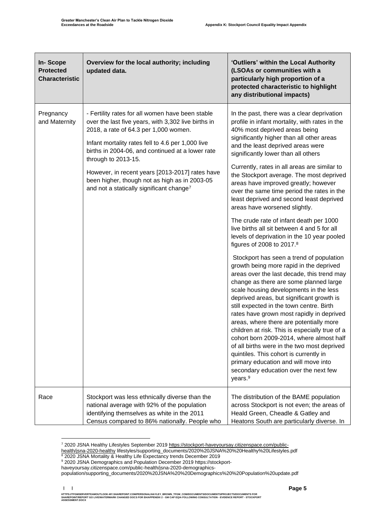| In-Scope<br><b>Protected</b><br><b>Characteristic</b> | Overview for the local authority; including<br>updated data.                                                                                                                                                                                                                     | 'Outliers' within the Local Authority<br>(LSOAs or communities with a<br>particularly high proportion of a<br>protected characteristic to highlight<br>any distributional impacts)                                                                                                                                                                                                                                                                                                                                                                                                                                                                                                                    |
|-------------------------------------------------------|----------------------------------------------------------------------------------------------------------------------------------------------------------------------------------------------------------------------------------------------------------------------------------|-------------------------------------------------------------------------------------------------------------------------------------------------------------------------------------------------------------------------------------------------------------------------------------------------------------------------------------------------------------------------------------------------------------------------------------------------------------------------------------------------------------------------------------------------------------------------------------------------------------------------------------------------------------------------------------------------------|
| Pregnancy<br>and Maternity                            | - Fertility rates for all women have been stable<br>over the last five years, with 3,302 live births in<br>2018, a rate of 64.3 per 1,000 women.<br>Infant mortality rates fell to 4.6 per 1,000 live<br>births in 2004-06, and continued at a lower rate<br>through to 2013-15. | In the past, there was a clear deprivation<br>profile in infant mortality, with rates in the<br>40% most deprived areas being<br>significantly higher than all other areas<br>and the least deprived areas were<br>significantly lower than all others                                                                                                                                                                                                                                                                                                                                                                                                                                                |
|                                                       | However, in recent years [2013-2017] rates have<br>been higher, though not as high as in 2003-05<br>and not a statically significant change <sup>7</sup>                                                                                                                         | Currently, rates in all areas are similar to<br>the Stockport average. The most deprived<br>areas have improved greatly; however<br>over the same time period the rates in the<br>least deprived and second least deprived<br>areas have worsened slightly.                                                                                                                                                                                                                                                                                                                                                                                                                                           |
|                                                       |                                                                                                                                                                                                                                                                                  | The crude rate of infant death per 1000<br>live births all sit between 4 and 5 for all<br>levels of deprivation in the 10 year pooled<br>figures of 2008 to 2017. <sup>8</sup>                                                                                                                                                                                                                                                                                                                                                                                                                                                                                                                        |
|                                                       |                                                                                                                                                                                                                                                                                  | Stockport has seen a trend of population<br>growth being more rapid in the deprived<br>areas over the last decade, this trend may<br>change as there are some planned large<br>scale housing developments in the less<br>deprived areas, but significant growth is<br>still expected in the town centre. Birth<br>rates have grown most rapidly in deprived<br>areas, where there are potentially more<br>children at risk. This is especially true of a<br>cohort born 2009-2014, where almost half<br>of all births were in the two most deprived<br>quintiles. This cohort is currently in<br>primary education and will move into<br>secondary education over the next few<br>years. <sup>9</sup> |
| Race                                                  | Stockport was less ethnically diverse than the<br>national average with 92% of the population<br>identifying themselves as white in the 2011<br>Census compared to 86% nationally. People who                                                                                    | The distribution of the BAME population<br>across Stockport is not even; the areas of<br>Heald Green, Cheadle & Gatley and<br>Heatons South are particularly diverse. In                                                                                                                                                                                                                                                                                                                                                                                                                                                                                                                              |

<sup>7</sup> 2020 JSNA Healthy Lifestyles September 2019 [https://stockport-haveyoursay.citizenspace.com/public-](https://stockport-haveyoursay.citizenspace.com/public-health/jsna-2020-healthy)

[health/jsna-2020-healthy](https://stockport-haveyoursay.citizenspace.com/public-health/jsna-2020-healthy) lifestyles/supporting\_documents/2020%20JSNA%20%20Healthy%20Lifestyles.pdf

<sup>8</sup> 2020 JSNA Mortality & Healthy Life Expectancy trends December 2019

<sup>9</sup> 2020 JSNA Demographics and Population December 2019 https://stockporthaveyoursay.citizenspace.com/public-health/jsna-2020-demographics-

population/supporting\_documents/2020%20JSNA%20%20Demographics%20%20Population%20update.pdf

**| |**  HTTPS://TFGMSERVERTEAMOUTLOOK-MY.SHAREPOINT.COM/PERSONAL/HAYLEY\_BROWN\_TFGM\_COM/DOCUMENTS/DOCUMENTS/PROJECTS/DOCUMENTS FOR<br>SHAREPOINT/REPORT GO LIVE/WATERMARK CHANGED DOCS FOR EH/APPENDIX 2 - GM CAP EQIA FOLLOWING CONSULTAT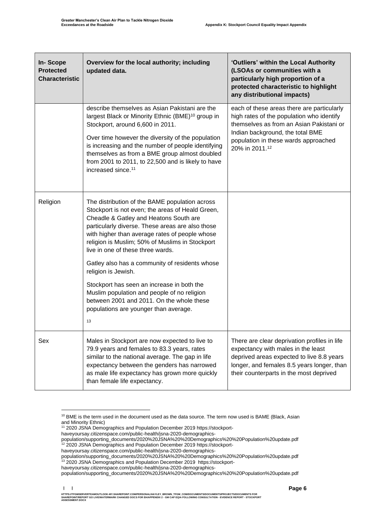| <b>In-Scope</b><br><b>Protected</b><br><b>Characteristic</b> | Overview for the local authority; including<br>updated data.                                                                                                                                                                                                                                                                                                                                                                                                                                                                                                                                                 | 'Outliers' within the Local Authority<br>(LSOAs or communities with a<br>particularly high proportion of a<br>protected characteristic to highlight<br>any distributional impacts)                                                |
|--------------------------------------------------------------|--------------------------------------------------------------------------------------------------------------------------------------------------------------------------------------------------------------------------------------------------------------------------------------------------------------------------------------------------------------------------------------------------------------------------------------------------------------------------------------------------------------------------------------------------------------------------------------------------------------|-----------------------------------------------------------------------------------------------------------------------------------------------------------------------------------------------------------------------------------|
|                                                              | describe themselves as Asian Pakistani are the<br>largest Black or Minority Ethnic (BME) <sup>10</sup> group in<br>Stockport, around 6,600 in 2011.<br>Over time however the diversity of the population<br>is increasing and the number of people identifying<br>themselves as from a BME group almost doubled<br>from 2001 to 2011, to 22,500 and is likely to have<br>increased since. <sup>11</sup>                                                                                                                                                                                                      | each of these areas there are particularly<br>high rates of the population who identify<br>themselves as from an Asian Pakistani or<br>Indian background, the total BME<br>population in these wards approached<br>20% in 2011.12 |
| Religion                                                     | The distribution of the BAME population across<br>Stockport is not even; the areas of Heald Green,<br>Cheadle & Gatley and Heatons South are<br>particularly diverse. These areas are also those<br>with higher than average rates of people whose<br>religion is Muslim; 50% of Muslims in Stockport<br>live in one of these three wards.<br>Gatley also has a community of residents whose<br>religion is Jewish.<br>Stockport has seen an increase in both the<br>Muslim population and people of no religion<br>between 2001 and 2011. On the whole these<br>populations are younger than average.<br>13 |                                                                                                                                                                                                                                   |
| Sex                                                          | Males in Stockport are now expected to live to<br>79.9 years and females to 83.3 years, rates<br>similar to the national average. The gap in life<br>expectancy between the genders has narrowed<br>as male life expectancy has grown more quickly<br>than female life expectancy.                                                                                                                                                                                                                                                                                                                           | There are clear deprivation profiles in life<br>expectancy with males in the least<br>deprived areas expected to live 8.8 years<br>longer, and females 8.5 years longer, than<br>their counterparts in the most deprived          |

<sup>&</sup>lt;sup>10</sup> BME is the term used in the document used as the data source. The term now used is BAME (Black, Asian and Minority Ethnic)

<sup>11</sup> 2020 JSNA Demographics and Population December 2019 https://stockport-

haveyoursay.citizenspace.com/public-health/jsna-2020-demographics-

population/supporting\_documents/2020%20JSNA%20%20Demographics%20%20Population%20update.pdf <sup>12</sup> 2020 JSNA Demographics and Population December 2019 https://stockporthaveyoursay.citizenspace.com/public-health/jsna-2020-demographics-

population/supporting\_documents/2020%20JSNA%20%20Demographics%20%20Population%20update.pdf <sup>13</sup> 2020 JSNA Demographics and Population December 2019 https://stockport-

haveyoursay.citizenspace.com/public-health/jsna-2020-demographics-

population/supporting\_documents/2020%20JSNA%20%20Demographics%20%20Population%20update.pdf

**<sup>| |</sup>**  HTTPS://TFGMSERVERTEAMOUTLOOK-MY.SHAREPOINT.COM/PERSONAL/HAYLEY\_BROWN\_TFGM\_COM/DOCUMENTS/DOCUMENTS/PROJECTS/DOCUMENTS FOR<br>SHAREPOINT/REPORT GO LIVE/WATERMARK CHANGED DOCS FOR EH/APPENDIX 2 - GM CAP EQIA FOLLOWING CONSULTAT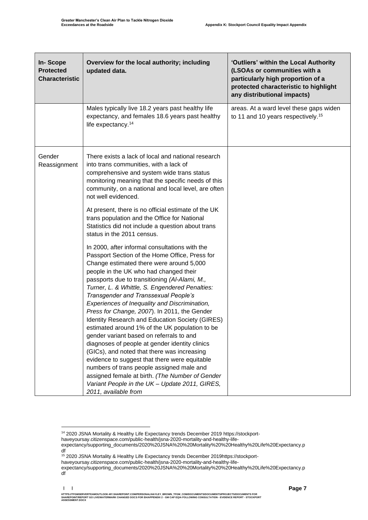| <b>In-Scope</b><br><b>Protected</b><br><b>Characteristic</b> | Overview for the local authority; including<br>updated data.                                                                                                                                                                                                                                                                                                                                                                                                                                                                                                                                                                                                                                                                                                                                                                                                                                                    | 'Outliers' within the Local Authority<br>(LSOAs or communities with a<br>particularly high proportion of a<br>protected characteristic to highlight<br>any distributional impacts) |
|--------------------------------------------------------------|-----------------------------------------------------------------------------------------------------------------------------------------------------------------------------------------------------------------------------------------------------------------------------------------------------------------------------------------------------------------------------------------------------------------------------------------------------------------------------------------------------------------------------------------------------------------------------------------------------------------------------------------------------------------------------------------------------------------------------------------------------------------------------------------------------------------------------------------------------------------------------------------------------------------|------------------------------------------------------------------------------------------------------------------------------------------------------------------------------------|
|                                                              | Males typically live 18.2 years past healthy life<br>expectancy, and females 18.6 years past healthy<br>life expectancy. <sup>14</sup>                                                                                                                                                                                                                                                                                                                                                                                                                                                                                                                                                                                                                                                                                                                                                                          | areas. At a ward level these gaps widen<br>to 11 and 10 years respectively. <sup>15</sup>                                                                                          |
| Gender<br>Reassignment                                       | There exists a lack of local and national research<br>into trans communities, with a lack of<br>comprehensive and system wide trans status<br>monitoring meaning that the specific needs of this<br>community, on a national and local level, are often<br>not well evidenced.                                                                                                                                                                                                                                                                                                                                                                                                                                                                                                                                                                                                                                  |                                                                                                                                                                                    |
|                                                              | At present, there is no official estimate of the UK<br>trans population and the Office for National<br>Statistics did not include a question about trans<br>status in the 2011 census.                                                                                                                                                                                                                                                                                                                                                                                                                                                                                                                                                                                                                                                                                                                          |                                                                                                                                                                                    |
|                                                              | In 2000, after informal consultations with the<br>Passport Section of the Home Office, Press for<br>Change estimated there were around 5,000<br>people in the UK who had changed their<br>passports due to transitioning (AI-Alami, M.,<br>Turner, L. & Whittle, S. Engendered Penalties:<br>Transgender and Transsexual People's<br>Experiences of Inequality and Discrimination,<br>Press for Change, 2007). In 2011, the Gender<br>Identity Research and Education Society (GIRES)<br>estimated around 1% of the UK population to be<br>gender variant based on referrals to and<br>diagnoses of people at gender identity clinics<br>(GICs), and noted that there was increasing<br>evidence to suggest that there were equitable<br>numbers of trans people assigned male and<br>assigned female at birth. (The Number of Gender<br>Variant People in the UK - Update 2011, GIRES,<br>2011, available from |                                                                                                                                                                                    |

haveyoursay.citizenspace.com/public-health/jsna-2020-mortality-and-healthy-life-

<sup>14</sup> 2020 JSNA Mortality & Healthy Life Expectancy trends December 2019 https://stockport-

haveyoursay.citizenspace.com/public-health/jsna-2020-mortality-and-healthy-life-

expectancy/supporting\_documents/2020%20JSNA%20%20Mortality%20%20Healthy%20Life%20Expectancy.p df

<sup>&</sup>lt;sup>15</sup> 2020 JSNA Mortality & Healthy Life Expectancy trends December 2019https://stockport-

expectancy/supporting\_documents/2020%20JSNA%20%20Mortality%20%20Healthy%20Life%20Expectancy.p df

HTTPS://TFGMSERVERTEAMOUTLOOK-MY.SHAREPOINT.COM/PERSONAL/HAYLEY\_BROWN\_TFGM\_COM/DOCUMENTS/DOCUMENTS/PROJECTS/DOCUMENTS FOR<br>SHAREPOINT/REPORT GO LIVE/WATERMARK CHANGED DOCS FOR EH/APPENDIX 2 - GM CAP EQIA FOLLOWING CONSULTAT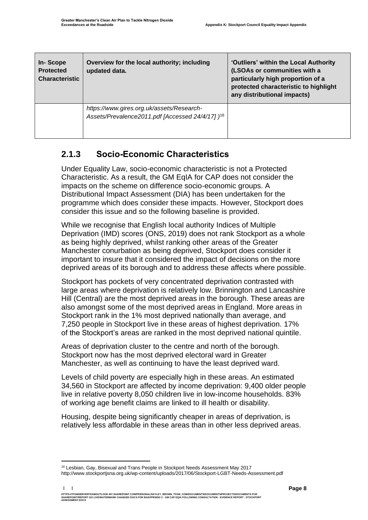| In-Scope<br><b>Protected</b><br><b>Characteristic</b> | Overview for the local authority; including<br>updated data.                                              | 'Outliers' within the Local Authority<br>(LSOAs or communities with a<br>particularly high proportion of a<br>protected characteristic to highlight<br>any distributional impacts) |
|-------------------------------------------------------|-----------------------------------------------------------------------------------------------------------|------------------------------------------------------------------------------------------------------------------------------------------------------------------------------------|
|                                                       | https://www.gires.org.uk/assets/Research-<br>Assets/Prevalence2011.pdf [Accessed 24/4/17] ) <sup>16</sup> |                                                                                                                                                                                    |

### **2.1.3 Socio-Economic Characteristics**

Under Equality Law, socio-economic characteristic is not a Protected Characteristic. As a result, the GM EqIA for CAP does not consider the impacts on the scheme on difference socio-economic groups. A Distributional Impact Assessment (DIA) has been undertaken for the programme which does consider these impacts. However, Stockport does consider this issue and so the following baseline is provided.

While we recognise that English local authority Indices of Multiple Deprivation (IMD) scores (ONS, 2019) does not rank Stockport as a whole as being highly deprived, whilst ranking other areas of the Greater Manchester conurbation as being deprived, Stockport does consider it important to insure that it considered the impact of decisions on the more deprived areas of its borough and to address these affects where possible.

Stockport has pockets of very concentrated deprivation contrasted with large areas where deprivation is relatively low. Brinnington and Lancashire Hill (Central) are the most deprived areas in the borough. These areas are also amongst some of the most deprived areas in England. More areas in Stockport rank in the 1% most deprived nationally than average, and 7,250 people in Stockport live in these areas of highest deprivation. 17% of the Stockport's areas are ranked in the most deprived national quintile.

Areas of deprivation cluster to the centre and north of the borough. Stockport now has the most deprived electoral ward in Greater Manchester, as well as continuing to have the least deprived ward.

Levels of child poverty are especially high in these areas. An estimated 34,560 in Stockport are affected by income deprivation: 9,400 older people live in relative poverty 8,050 children live in low-income households. 83% of working age benefit claims are linked to ill health or disability.

Housing, despite being significantly cheaper in areas of deprivation, is relatively less affordable in these areas than in other less deprived areas.

<sup>&</sup>lt;sup>16</sup> Lesbian, Gay, Bisexual and Trans People in Stockport Needs Assessment May 2017

http://www.stockportjsna.org.uk/wp-content/uploads/2017/06/Stockport-LGBT-Needs-Assessment.pdf

**<sup>| |</sup>**  HTTPS://TFGMSERVERTEAMOUTLOOK-MY.SHAREPOINT.COMPERSONAL/HAYLEY\_BROWN\_TFGM\_COM/DOCUMENTS/DOCUMENTS/PROJECTS/DOCUMENTS FOR<br>SHAREPOINT/REPORT GO LIVE/WATERMARK CHANGED DOCS FOR EH/APPENDIX 2 - GM CAP EQIA FOLLOWING CONSULTATI **ASSESSMENT.DOCX**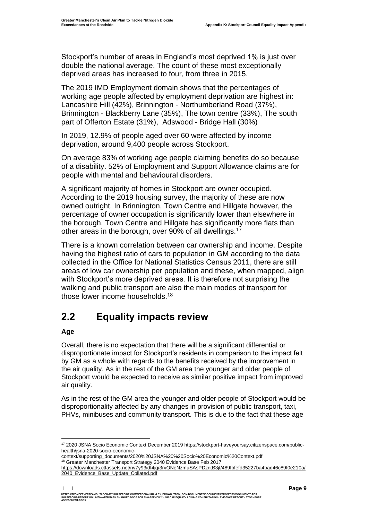Stockport's number of areas in England's most deprived 1% is just over double the national average. The count of these most exceptionally deprived areas has increased to four, from three in 2015.

The 2019 IMD Employment domain shows that the percentages of working age people affected by employment deprivation are highest in: Lancashire Hill (42%), Brinnington - Northumberland Road (37%), Brinnington - Blackberry Lane (35%), The town centre (33%), The south part of Offerton Estate (31%), Adswood - Bridge Hall (30%)

In 2019, 12.9% of people aged over 60 were affected by income deprivation, around 9,400 people across Stockport.

On average 83% of working age people claiming benefits do so because of a disability. 52% of Employment and Support Allowance claims are for people with mental and behavioural disorders.

A significant majority of homes in Stockport are owner occupied. According to the 2019 housing survey, the majority of these are now owned outright. In Brinnington, Town Centre and Hillgate however, the percentage of owner occupation is significantly lower than elsewhere in the borough. Town Centre and Hillgate has significantly more flats than other areas in the borough, over 90% of all dwellings.<sup>17</sup>

There is a known correlation between car ownership and income. Despite having the highest ratio of cars to population in GM according to the data collected in the Office for National Statistics Census 2011, there are still areas of low car ownership per population and these, when mapped, align with Stockport's more deprived areas. It is therefore not surprising the walking and public transport are also the main modes of transport for those lower income households.<sup>18</sup>

## <span id="page-10-0"></span>**2.2 Equality impacts review**

#### **Age**

Overall, there is no expectation that there will be a significant differential or disproportionate impact for Stockport's residents in comparison to the impact felt by GM as a whole with regards to the benefits received by the improvement in the air quality. As in the rest of the GM area the younger and older people of Stockport would be expected to receive as similar positive impact from improved air quality.

As in the rest of the GM area the younger and older people of Stockport would be disproportionality affected by any changes in provision of public transport, taxi, PHVs, minibuses and community transport. This is due to the fact that these age

<sup>17</sup> 2020 JSNA Socio Economic Context December 2019 https://stockport-haveyoursay.citizenspace.com/publichealth/jsna-2020-socio-economic-

context/supporting\_documents/2020%20JSNA%20%20Socio%20Economic%20Context.pdf <sup>18</sup> Greater Manchester Transport Strategy 2040 Evidence Base Feb 2017

[https://downloads.ctfassets.net/nv7y93idf4jq/3ryONeNzmuSAsPDzgtB3jt/489fbfefd35227ba4bad46c89f0e210a/](https://downloads.ctfassets.net/nv7y93idf4jq/3ryONeNzmuSAsPDzgtB3jt/489fbfefd35227ba4bad46c89f0e210a/2040_Evidence_Base_Update_Collated.pdf) [2040\\_Evidence\\_Base\\_Update\\_Collated.pdf](https://downloads.ctfassets.net/nv7y93idf4jq/3ryONeNzmuSAsPDzgtB3jt/489fbfefd35227ba4bad46c89f0e210a/2040_Evidence_Base_Update_Collated.pdf)

HTTPS://TFGMSERVERTEAMOUTLOOK-MY.SHAREPOINT.COMPERSONAL/HAYLEY\_BROWN\_TFGM\_COM/DOCUMENTS/DOCUMENTS/PROJECTS/DOCUMENTS FOR<br>SHAREPOINT/REPORT GO LIVE/WATERMARK CHANGED DOCS FOR EH/APPENDIX 2 - GM CAP EQIA FOLLOWING CONSULTATI **ASSESSMENT.DOCX**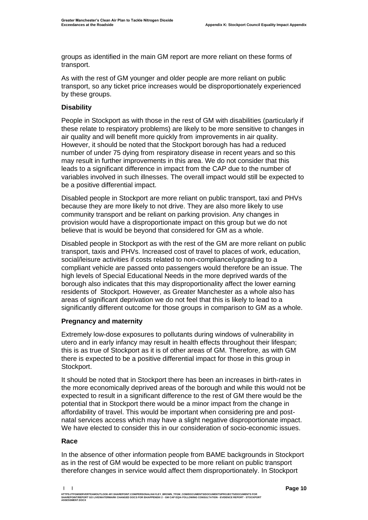groups as identified in the main GM report are more reliant on these forms of transport.

As with the rest of GM younger and older people are more reliant on public transport, so any ticket price increases would be disproportionately experienced by these groups.

#### **Disability**

People in Stockport as with those in the rest of GM with disabilities (particularly if these relate to respiratory problems) are likely to be more sensitive to changes in air quality and will benefit more quickly from improvements in air quality. However, it should be noted that the Stockport borough has had a reduced number of under 75 dying from respiratory disease in recent years and so this may result in further improvements in this area. We do not consider that this leads to a significant difference in impact from the CAP due to the number of variables involved in such illnesses. The overall impact would still be expected to be a positive differential impact.

Disabled people in Stockport are more reliant on public transport, taxi and PHVs because they are more likely to not drive. They are also more likely to use community transport and be reliant on parking provision. Any changes in provision would have a disproportionate impact on this group but we do not believe that is would be beyond that considered for GM as a whole.

Disabled people in Stockport as with the rest of the GM are more reliant on public transport, taxis and PHVs. Increased cost of travel to places of work, education, social/leisure activities if costs related to non-compliance/upgrading to a compliant vehicle are passed onto passengers would therefore be an issue. The high levels of Special Educational Needs in the more deprived wards of the borough also indicates that this may disproportionality affect the lower earning residents of Stockport. However, as Greater Manchester as a whole also has areas of significant deprivation we do not feel that this is likely to lead to a significantly different outcome for those groups in comparison to GM as a whole.

#### **Pregnancy and maternity**

Extremely low-dose exposures to pollutants during windows of vulnerability in utero and in early infancy may result in health effects throughout their lifespan; this is as true of Stockport as it is of other areas of GM. Therefore, as with GM there is expected to be a positive differential impact for those in this group in Stockport.

It should be noted that in Stockport there has been an increases in birth-rates in the more economically deprived areas of the borough and while this would not be expected to result in a significant difference to the rest of GM there would be the potential that in Stockport there would be a minor impact from the change in affordability of travel. This would be important when considering pre and postnatal services access which may have a slight negative disproportionate impact. We have elected to consider this in our consideration of socio-economic issues.

#### **Race**

In the absence of other information people from BAME backgrounds in Stockport as in the rest of GM would be expected to be more reliant on public transport therefore changes in service would affect them disproportionately. In Stockport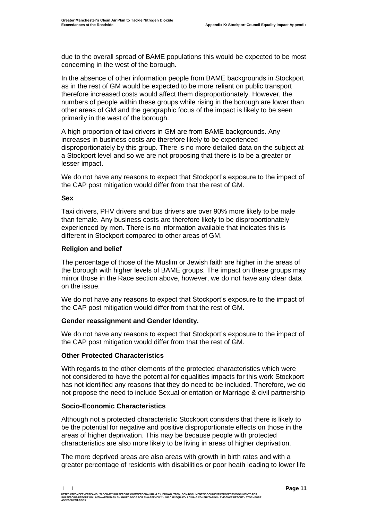due to the overall spread of BAME populations this would be expected to be most concerning in the west of the borough.

In the absence of other information people from BAME backgrounds in Stockport as in the rest of GM would be expected to be more reliant on public transport therefore increased costs would affect them disproportionately. However, the numbers of people within these groups while rising in the borough are lower than other areas of GM and the geographic focus of the impact is likely to be seen primarily in the west of the borough.

A high proportion of taxi drivers in GM are from BAME backgrounds. Any increases in business costs are therefore likely to be experienced disproportionately by this group. There is no more detailed data on the subject at a Stockport level and so we are not proposing that there is to be a greater or lesser impact.

We do not have any reasons to expect that Stockport's exposure to the impact of the CAP post mitigation would differ from that the rest of GM.

#### **Sex**

Taxi drivers, PHV drivers and bus drivers are over 90% more likely to be male than female. Any business costs are therefore likely to be disproportionately experienced by men. There is no information available that indicates this is different in Stockport compared to other areas of GM.

#### **Religion and belief**

The percentage of those of the Muslim or Jewish faith are higher in the areas of the borough with higher levels of BAME groups. The impact on these groups may mirror those in the Race section above, however, we do not have any clear data on the issue.

We do not have any reasons to expect that Stockport's exposure to the impact of the CAP post mitigation would differ from that the rest of GM.

#### **Gender reassignment and Gender Identity.**

We do not have any reasons to expect that Stockport's exposure to the impact of the CAP post mitigation would differ from that the rest of GM.

#### **Other Protected Characteristics**

With regards to the other elements of the protected characteristics which were not considered to have the potential for equalities impacts for this work Stockport has not identified any reasons that they do need to be included. Therefore, we do not propose the need to include Sexual orientation or Marriage & civil partnership

#### **Socio-Economic Characteristics**

Although not a protected characteristic Stockport considers that there is likely to be the potential for negative and positive disproportionate effects on those in the areas of higher deprivation. This may be because people with protected characteristics are also more likely to be living in areas of higher deprivation.

The more deprived areas are also areas with growth in birth rates and with a greater percentage of residents with disabilities or poor heath leading to lower life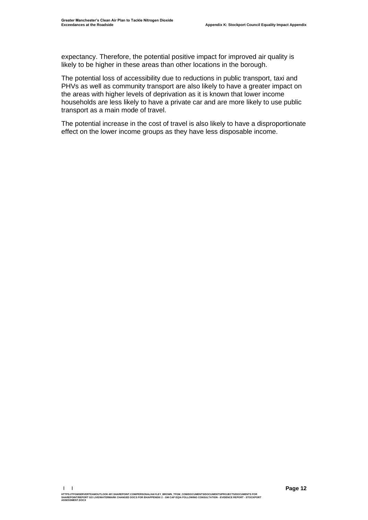expectancy. Therefore, the potential positive impact for improved air quality is likely to be higher in these areas than other locations in the borough.

The potential loss of accessibility due to reductions in public transport, taxi and PHVs as well as community transport are also likely to have a greater impact on the areas with higher levels of deprivation as it is known that lower income households are less likely to have a private car and are more likely to use public transport as a main mode of travel.

The potential increase in the cost of travel is also likely to have a disproportionate effect on the lower income groups as they have less disposable income.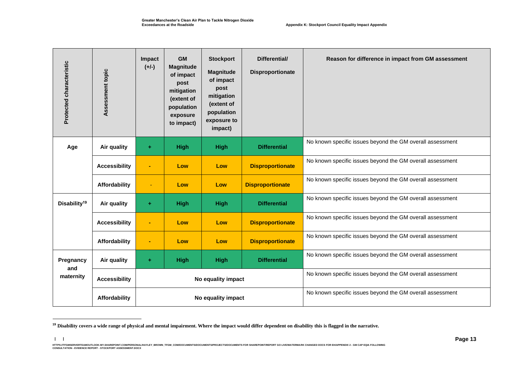| Protected characteristic | Assessment topic     | Impact<br>$(+/-)$ | <b>GM</b><br><b>Magnitude</b><br>of impact<br>post<br>mitigation<br>(extent of<br>population<br>exposure<br>to impact) | <b>Stockport</b><br><b>Magnitude</b><br>of impact<br>post<br>mitigation<br>(extent of<br>population<br>exposure to<br>impact) | Differential/<br>Disproportionate | Reason for difference in impact from GM assessment        |
|--------------------------|----------------------|-------------------|------------------------------------------------------------------------------------------------------------------------|-------------------------------------------------------------------------------------------------------------------------------|-----------------------------------|-----------------------------------------------------------|
| Age                      | Air quality          | $\pm$             | <b>High</b>                                                                                                            | <b>High</b>                                                                                                                   | <b>Differential</b>               | No known specific issues beyond the GM overall assessment |
|                          | <b>Accessibility</b> | $\blacksquare$    | Low                                                                                                                    | Low                                                                                                                           | <b>Disproportionate</b>           | No known specific issues beyond the GM overall assessment |
|                          | Affordability        |                   | Low                                                                                                                    | Low                                                                                                                           | <b>Disproportionate</b>           | No known specific issues beyond the GM overall assessment |
| Disability <sup>19</sup> | Air quality          | $\pm$             | <b>High</b>                                                                                                            | High                                                                                                                          | <b>Differential</b>               | No known specific issues beyond the GM overall assessment |
|                          | <b>Accessibility</b> |                   | Low                                                                                                                    | Low                                                                                                                           | <b>Disproportionate</b>           | No known specific issues beyond the GM overall assessment |
|                          | Affordability        | ٠                 | Low                                                                                                                    | Low                                                                                                                           | <b>Disproportionate</b>           | No known specific issues beyond the GM overall assessment |
| Pregnancy                | Air quality          | ÷                 | <b>High</b>                                                                                                            | <b>High</b>                                                                                                                   | <b>Differential</b>               | No known specific issues beyond the GM overall assessment |
| and<br>maternity         | <b>Accessibility</b> |                   |                                                                                                                        | No equality impact                                                                                                            |                                   | No known specific issues beyond the GM overall assessment |
|                          | Affordability        |                   |                                                                                                                        | No equality impact                                                                                                            |                                   | No known specific issues beyond the GM overall assessment |

**<sup>19</sup> Disability covers a wide range of physical and mental impairment. Where the impact would differ dependent on disability this is flagged in the narrative.**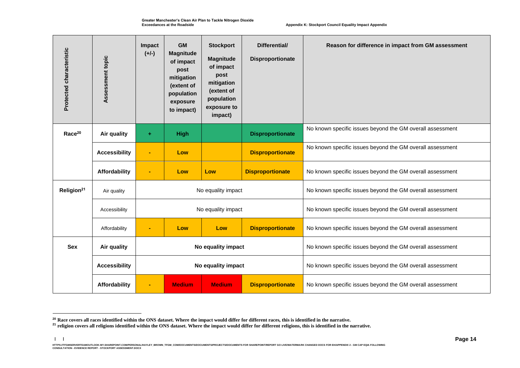| Protected characteristic | Assessment topic     | Impact<br>$(+/-)$  | <b>GM</b><br><b>Magnitude</b><br>of impact<br>post<br>mitigation<br>(extent of<br>population<br>exposure<br>to impact) | <b>Stockport</b><br><b>Magnitude</b><br>of impact<br>post<br>mitigation<br>(extent of<br>population<br>exposure to<br>impact) | Differential/<br><b>Disproportionate</b> | Reason for difference in impact from GM assessment        |
|--------------------------|----------------------|--------------------|------------------------------------------------------------------------------------------------------------------------|-------------------------------------------------------------------------------------------------------------------------------|------------------------------------------|-----------------------------------------------------------|
| Race <sup>20</sup>       | Air quality          | ٠                  | <b>High</b>                                                                                                            |                                                                                                                               | <b>Disproportionate</b>                  | No known specific issues beyond the GM overall assessment |
|                          | <b>Accessibility</b> |                    | Low                                                                                                                    |                                                                                                                               | <b>Disproportionate</b>                  | No known specific issues beyond the GM overall assessment |
|                          | Affordability        |                    | Low                                                                                                                    | Low                                                                                                                           | <b>Disproportionate</b>                  | No known specific issues beyond the GM overall assessment |
| Religion <sup>21</sup>   | Air quality          |                    | No equality impact                                                                                                     |                                                                                                                               |                                          | No known specific issues beyond the GM overall assessment |
|                          | Accessibility        |                    | No equality impact                                                                                                     |                                                                                                                               |                                          | No known specific issues beyond the GM overall assessment |
|                          | Affordability        |                    | Low                                                                                                                    | Low                                                                                                                           | <b>Disproportionate</b>                  | No known specific issues beyond the GM overall assessment |
| <b>Sex</b>               | Air quality          | No equality impact |                                                                                                                        |                                                                                                                               |                                          | No known specific issues beyond the GM overall assessment |
|                          | <b>Accessibility</b> |                    | No equality impact                                                                                                     |                                                                                                                               |                                          | No known specific issues beyond the GM overall assessment |
|                          | Affordability        |                    | <b>Medium</b>                                                                                                          | <b>Medium</b>                                                                                                                 | <b>Disproportionate</b>                  | No known specific issues beyond the GM overall assessment |

**<sup>20</sup> Race covers all races identified within the ONS dataset. Where the impact would differ for different races, this is identified in the narrative.**

**<sup>21</sup> religion covers all religions identified within the ONS dataset. Where the impact would differ for different religions, this is identified in the narrative.**

HTTPS://TEMBERVERTEMOUTLOOK-MY.SHAREPOINT.COM/PERSONAL/HAYLEY\_BROWN\_TFGM\_COM/DOCUMENTS/ROCUMENTS/RROJECTS/DOCUMENTS FOR SHAREPOINT/REPORT GO LIVE/MATERMARK CHANGED DOCS FOR EH/APPENDIX 2 - GM CAP EQIA FOLLOWING<br>CONSULTATIO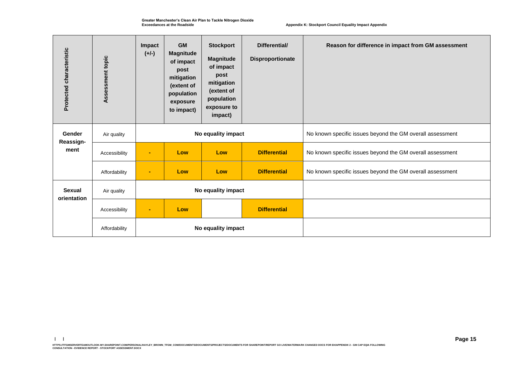**Greater Manchester's Clean Air Plan to Tackle Nitrogen Dioxide Exceedances at the Roadside**

 **Appendix K: Stockport Council Equality Impact Appendix**

| Protected characteristic | Assessment topic | Impact<br>$(+/-)$ | <b>GM</b><br><b>Magnitude</b><br>of impact<br>post<br>mitigation<br>(extent of<br>population<br>exposure<br>to impact) | <b>Stockport</b><br><b>Magnitude</b><br>of impact<br>post<br>mitigation<br>(extent of<br>population<br>exposure to<br>impact) | Differential/<br>Disproportionate | Reason for difference in impact from GM assessment        |
|--------------------------|------------------|-------------------|------------------------------------------------------------------------------------------------------------------------|-------------------------------------------------------------------------------------------------------------------------------|-----------------------------------|-----------------------------------------------------------|
| Gender<br>Reassign-      | Air quality      |                   |                                                                                                                        | No equality impact                                                                                                            |                                   | No known specific issues beyond the GM overall assessment |
| ment                     | Accessibility    | $\blacksquare$    | Low                                                                                                                    | Low                                                                                                                           | <b>Differential</b>               | No known specific issues beyond the GM overall assessment |
|                          | Affordability    | ٠                 | Low                                                                                                                    | Low                                                                                                                           | <b>Differential</b>               | No known specific issues beyond the GM overall assessment |
| <b>Sexual</b>            | Air quality      |                   | No equality impact                                                                                                     |                                                                                                                               |                                   |                                                           |
| orientation              | Accessibility    | $\blacksquare$    | Low                                                                                                                    |                                                                                                                               | <b>Differential</b>               |                                                           |
|                          | Affordability    |                   |                                                                                                                        | No equality impact                                                                                                            |                                   |                                                           |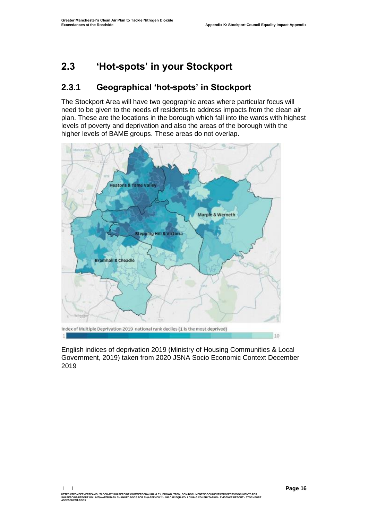### <span id="page-17-0"></span>**2.3 'Hot-spots' in your Stockport**

### **2.3.1 Geographical 'hot-spots' in Stockport**

The Stockport Area will have two geographic areas where particular focus will need to be given to the needs of residents to address impacts from the clean air plan. These are the locations in the borough which fall into the wards with highest levels of poverty and deprivation and also the areas of the borough with the higher levels of BAME groups. These areas do not overlap.



English indices of deprivation 2019 (Ministry of Housing Communities & Local Government, 2019) taken from 2020 JSNA Socio Economic Context December 2019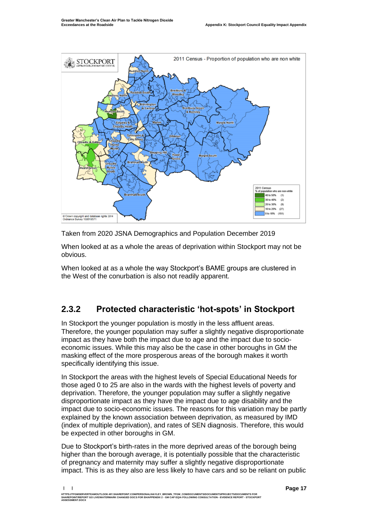

Taken from 2020 JSNA Demographics and Population December 2019

When looked at as a whole the areas of deprivation within Stockport may not be obvious.

When looked at as a whole the way Stockport's BAME groups are clustered in the West of the conurbation is also not readily apparent.

### **2.3.2 Protected characteristic 'hot-spots' in Stockport**

In Stockport the younger population is mostly in the less affluent areas. Therefore, the younger population may suffer a slightly negative disproportionate impact as they have both the impact due to age and the impact due to socioeconomic issues. While this may also be the case in other boroughs in GM the masking effect of the more prosperous areas of the borough makes it worth specifically identifying this issue.

In Stockport the areas with the highest levels of Special Educational Needs for those aged 0 to 25 are also in the wards with the highest levels of poverty and deprivation. Therefore, the younger population may suffer a slightly negative disproportionate impact as they have the impact due to age disability and the impact due to socio-economic issues. The reasons for this variation may be partly explained by the known association between deprivation, as measured by IMD (index of multiple deprivation), and rates of SEN diagnosis. Therefore, this would be expected in other boroughs in GM.

Due to Stockport's birth-rates in the more deprived areas of the borough being higher than the borough average, it is potentially possible that the characteristic of pregnancy and maternity may suffer a slightly negative disproportionate impact. This is as they also are less likely to have cars and so be reliant on public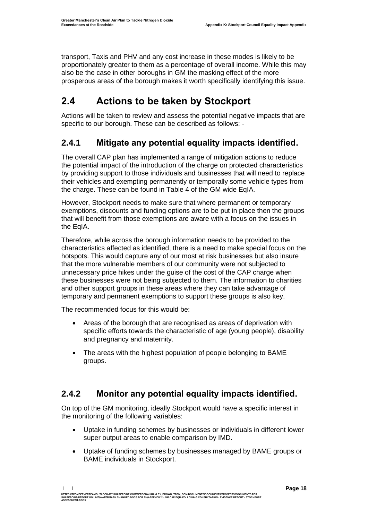transport, Taxis and PHV and any cost increase in these modes is likely to be proportionately greater to them as a percentage of overall income. While this may also be the case in other boroughs in GM the masking effect of the more prosperous areas of the borough makes it worth specifically identifying this issue.

## <span id="page-19-0"></span>**2.4 Actions to be taken by Stockport**

Actions will be taken to review and assess the potential negative impacts that are specific to our borough. These can be described as follows: -

### **2.4.1 Mitigate any potential equality impacts identified.**

The overall CAP plan has implemented a range of mitigation actions to reduce the potential impact of the introduction of the charge on protected characteristics by providing support to those individuals and businesses that will need to replace their vehicles and exempting permanently or temporally some vehicle types from the charge. These can be found in Table 4 of the GM wide EqIA.

However, Stockport needs to make sure that where permanent or temporary exemptions, discounts and funding options are to be put in place then the groups that will benefit from those exemptions are aware with a focus on the issues in the EqIA.

Therefore, while across the borough information needs to be provided to the characteristics affected as identified, there is a need to make special focus on the hotspots. This would capture any of our most at risk businesses but also insure that the more vulnerable members of our community were not subjected to unnecessary price hikes under the guise of the cost of the CAP charge when these businesses were not being subjected to them. The information to charities and other support groups in these areas where they can take advantage of temporary and permanent exemptions to support these groups is also key.

The recommended focus for this would be:

- Areas of the borough that are recognised as areas of deprivation with specific efforts towards the characteristic of age (young people), disability and pregnancy and maternity.
- The areas with the highest population of people belonging to BAME groups.

### **2.4.2 Monitor any potential equality impacts identified.**

On top of the GM monitoring, ideally Stockport would have a specific interest in the monitoring of the following variables:

- Uptake in funding schemes by businesses or individuals in different lower super output areas to enable comparison by IMD.
- Uptake of funding schemes by businesses managed by BAME groups or BAME individuals in Stockport.

**| |** 

HTTPS://TFGMSERVERTEAMOUTLOOK-MY.SHAREPOINT.COMPERSONAL/HAYLEY\_BROWN\_TFGM\_COM/DOCUMENTS/DOCUMENTS/PROJECTS/DOCUMENTS FOR<br>SHAREPOINT/REPORT GO LIVE/WATERMARK CHANGED DOCS FOR EH/APPENDIX 2 - GM CAP EQIA FOLLOWING CONSULTATI **ASSESSMENT.DOCX**